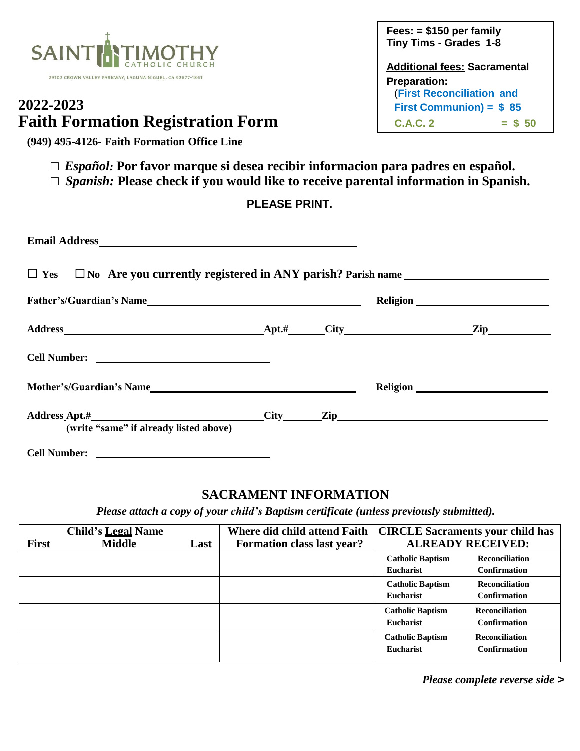

# **2022-2023 Faith Formation Registration Form**

**(949) 495-4126- Faith Formation Office Line** 

**Fees: = \$150 per family Tiny Tims - Grades 1-8**

**Additional fees: Sacramental Preparation:** (**First Reconciliation and First Communion) = \$ 85**  $C.A.C. 2 = $ 50$ 

- **□** *Español:* **Por favor marque si desea recibir informacion para padres en español.**
- **□** *Spanish:* **Please check if you would like to receive parental information in Spanish.**

### **PLEASE PRINT.**

| (write "same" if already listed above) |  |  |
|----------------------------------------|--|--|
| <b>Cell Number:</b>                    |  |  |

## **SACRAMENT INFORMATION**

*Please attach a copy of your child's Baptism certificate (unless previously submitted).*

| <b>First</b> | <b>Child's Legal Name</b><br><b>Middle</b> | Last | Where did child attend Faith<br><b>Formation class last year?</b> | <b>CIRCLE Sacraments your child has</b><br><b>ALREADY RECEIVED:</b> |                                              |
|--------------|--------------------------------------------|------|-------------------------------------------------------------------|---------------------------------------------------------------------|----------------------------------------------|
|              |                                            |      |                                                                   | <b>Catholic Baptism</b><br>Eucharist                                | <b>Reconciliation</b><br><b>Confirmation</b> |
|              |                                            |      |                                                                   | <b>Catholic Baptism</b><br>Eucharist                                | <b>Reconciliation</b><br><b>Confirmation</b> |
|              |                                            |      |                                                                   | <b>Catholic Baptism</b><br>Eucharist                                | <b>Reconciliation</b><br><b>Confirmation</b> |
|              |                                            |      |                                                                   | <b>Catholic Baptism</b><br>Eucharist                                | <b>Reconciliation</b><br><b>Confirmation</b> |

*Please complete reverse side >*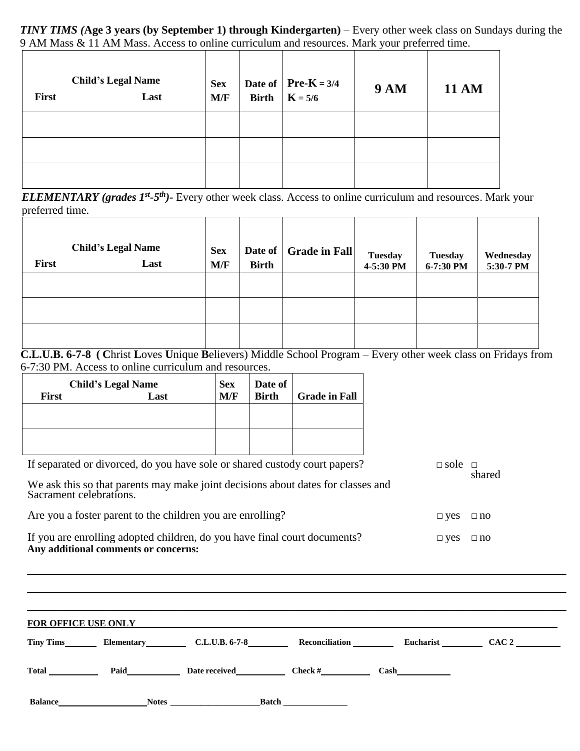*TINY TIMS (***Age 3 years (by September 1) through Kindergarten)** – Every other week class on Sundays during the 9 AM Mass & 11 AM Mass. Access to online curriculum and resources. Mark your preferred time.

| First | <b>Child's Legal Name</b><br>Last | <b>Sex</b><br>M/F | <b>Birth</b> | Date of $\left  \text{Pre-K } = 3/4 \right $<br>$K = 5/6$ | <b>9 AM</b> | <b>11 AM</b> |
|-------|-----------------------------------|-------------------|--------------|-----------------------------------------------------------|-------------|--------------|
|       |                                   |                   |              |                                                           |             |              |
|       |                                   |                   |              |                                                           |             |              |
|       |                                   |                   |              |                                                           |             |              |

*ELEMENTARY* (grades 1<sup>st</sup>-5<sup>th</sup>)- Every other week class. Access to online curriculum and resources. Mark your preferred time.

| First | <b>Child's Legal Name</b><br>Last | <b>Sex</b><br>M/F | Date of<br><b>Birth</b> | <b>Grade in Fall</b> | <b>Tuesday</b><br>4-5:30 PM | <b>Tuesday</b><br>6-7:30 PM | Wednesday<br>5:30-7 PM |
|-------|-----------------------------------|-------------------|-------------------------|----------------------|-----------------------------|-----------------------------|------------------------|
|       |                                   |                   |                         |                      |                             |                             |                        |
|       |                                   |                   |                         |                      |                             |                             |                        |
|       |                                   |                   |                         |                      |                             |                             |                        |

**C.L.U.B. 6-7-8 ( C**hrist **L**oves **U**nique **B**elievers) Middle School Program – Every other week class on Fridays from 6-7:30 PM. Access to online curriculum and resources.

|              | <b>Child's Legal Name</b> | <b>Sex</b> | Date of      |                      |
|--------------|---------------------------|------------|--------------|----------------------|
| <b>First</b> | Last                      | M/F        | <b>Birth</b> | <b>Grade in Fall</b> |
|              |                           |            |              |                      |
|              |                           |            |              |                      |
|              |                           |            |              |                      |
|              |                           |            |              |                      |

|                         | If separated or divorced, do you have sole or shared custody court papers? |                                                                                  |  | $\Box$ sole $\Box$   | shared |
|-------------------------|----------------------------------------------------------------------------|----------------------------------------------------------------------------------|--|----------------------|--------|
| Sacrament celebrations. |                                                                            | We ask this so that parents may make joint decisions about dates for classes and |  |                      |        |
|                         |                                                                            | Are you a foster parent to the children you are enrolling?                       |  | $\Box$ yes $\Box$ no |        |
|                         | Any additional comments or concerns:                                       | If you are enrolling adopted children, do you have final court documents?        |  | $\Box$ yes $\Box$ no |        |
|                         |                                                                            |                                                                                  |  |                      |        |
|                         |                                                                            | FOR OFFICE USE ONLY <b>EXAMPLE 2008</b>                                          |  |                      |        |
|                         |                                                                            | Tiny Tims Elementary C.L.U.B. 6-7-8 Reconciliation Eucharist CAC 2               |  |                      |        |
|                         |                                                                            | Total <b>Paid</b> Paid Date received Check # Cash                                |  |                      |        |
|                         |                                                                            |                                                                                  |  |                      |        |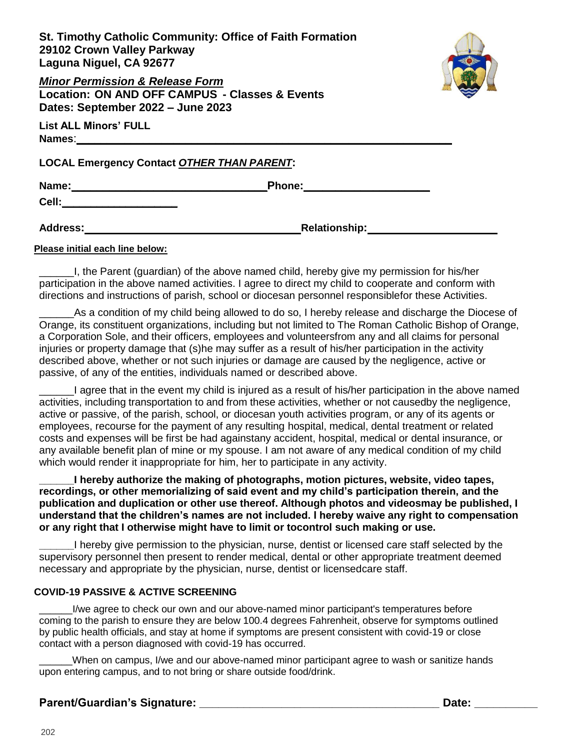**St. Timothy Catholic Community: Office of Faith Formation 29102 Crown Valley Parkway Laguna Niguel, CA 92677**



*Minor Permission & Release Form* **Location: ON AND OFF CAMPUS - Classes & Events Dates: September 2022 – June 2023**

**List ALL Minors' FULL Names**:**\_\_\_\_\_\_\_\_\_\_\_\_\_\_\_\_\_\_\_\_\_\_\_\_\_\_\_\_\_\_\_\_\_\_\_\_\_\_\_\_\_\_\_\_\_\_\_\_\_\_\_\_\_\_\_\_\_\_\_\_\_\_**

**LOCAL Emergency Contact** *OTHER THAN PARENT***:**

**Name:\_\_\_\_\_\_\_\_\_\_\_\_\_\_\_\_\_\_\_\_\_\_\_\_\_\_\_\_\_\_\_Phone:\_\_\_\_\_\_\_\_\_\_\_\_\_\_\_\_\_\_\_\_**

**Cell:\_\_\_\_\_\_\_\_\_\_\_\_\_\_\_\_\_\_\_\_**

**Address: Relationship:**

#### **Please initial each line below:**

\_\_\_\_\_\_I, the Parent (guardian) of the above named child, hereby give my permission for his/her participation in the above named activities. I agree to direct my child to cooperate and conform with directions and instructions of parish, school or diocesan personnel responsiblefor these Activities.

As a condition of my child being allowed to do so, I hereby release and discharge the Diocese of Orange, its constituent organizations, including but not limited to The Roman Catholic Bishop of Orange, a Corporation Sole, and their officers, employees and volunteersfrom any and all claims for personal injuries or property damage that (s)he may suffer as a result of his/her participation in the activity described above, whether or not such injuries or damage are caused by the negligence, active or passive, of any of the entities, individuals named or described above.

\_\_\_\_\_\_I agree that in the event my child is injured as a result of his/her participation in the above named activities, including transportation to and from these activities, whether or not causedby the negligence, active or passive, of the parish, school, or diocesan youth activities program, or any of its agents or employees, recourse for the payment of any resulting hospital, medical, dental treatment or related costs and expenses will be first be had againstany accident, hospital, medical or dental insurance, or any available benefit plan of mine or my spouse. I am not aware of any medical condition of my child which would render it inappropriate for him, her to participate in any activity.

**\_\_\_\_\_\_I hereby authorize the making of photographs, motion pictures, website, video tapes, recordings, or other memorializing of said event and my child's participation therein, and the publication and duplication or other use thereof. Although photos and videosmay be published, I understand that the children's names are not included. I hereby waive any right to compensation or any right that I otherwise might have to limit or tocontrol such making or use.**

**\_\_\_\_\_\_**I hereby give permission to the physician, nurse, dentist or licensed care staff selected by the supervisory personnel then present to render medical, dental or other appropriate treatment deemed necessary and appropriate by the physician, nurse, dentist or licensedcare staff.

### **COVID-19 PASSIVE & ACTIVE SCREENING**

I/we agree to check our own and our above-named minor participant's temperatures before coming to the parish to ensure they are below 100.4 degrees Fahrenheit, observe for symptoms outlined by public health officials, and stay at home if symptoms are present consistent with covid-19 or close contact with a person diagnosed with covid-19 has occurred.

When on campus, I/we and our above-named minor participant agree to wash or sanitize hands upon entering campus, and to not bring or share outside food/drink.

### **Parent/Guardian's Signature: \_\_\_\_\_\_\_\_\_\_\_\_\_\_\_\_\_\_\_\_\_\_\_\_\_\_\_\_\_\_\_\_\_\_\_\_\_\_ Date: \_\_\_\_\_\_\_\_\_\_**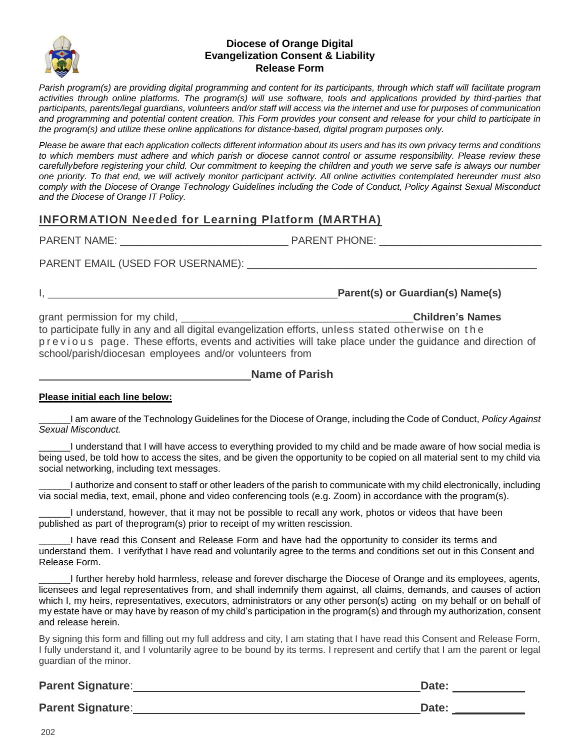

#### **Diocese of Orange Digital Evangelization Consent & Liability Release Form**

*Parish program(s) are providing digital programming and content for its participants, through which staff will facilitate program activities through online platforms. The program(s) will use software, tools and applications provided by third-parties that participants, parents/legal guardians, volunteers and/or staff will access via the internet and use for purposes of communication and programming and potential content creation. This Form provides your consent and release for your child to participate in the program(s) and utilize these online applications for distance-based, digital program purposes only.* 

*Please be aware that each application collects different information about its users and has its own privacy terms and conditions to which members must adhere and which parish or diocese cannot control or assume responsibility. Please review these carefullybefore registering your child. Our commitment to keeping the children and youth we serve safe is always our number one priority. To that end, we will actively monitor participant activity. All online activities contemplated hereunder must also comply with the Diocese of Orange Technology Guidelines including the Code of Conduct, Policy Against Sexual Misconduct and the Diocese of Orange IT Policy.*

### **INFORMATION Needed for Learning Platform (MARTHA)**

PARENT NAME: THONE: THONE:

PARENT EMAIL (USED FOR USERNAME): \_\_\_\_\_\_\_\_\_\_\_\_\_\_\_\_\_\_\_\_\_\_\_\_\_\_\_\_\_\_\_\_\_\_\_\_\_\_\_\_\_\_\_\_\_\_\_\_\_\_

I, \_\_\_\_\_\_\_\_\_\_\_\_\_\_\_\_\_\_\_\_\_\_\_\_\_\_\_\_\_\_\_\_\_\_\_\_\_\_\_\_\_\_\_\_\_\_\_\_\_\_**Parent(s) or Guardian(s) Name(s)**

grant permission for my child, \_\_\_\_\_\_\_\_\_\_\_\_\_\_\_\_\_\_\_\_\_\_\_\_\_\_\_\_\_\_\_\_\_\_\_\_\_\_\_\_**Children's Names** to participate fully in any and all digital evangelization efforts, unless stated otherwise on t h e p r e v i o us page. These efforts, events and activities will take place under the guidance and direction of school/parish/diocesan employees and/or volunteers from

### **Please initial each line below:**

\_\_\_\_\_\_I am aware of the Technology Guidelines for the Diocese of Orange, including the Code of Conduct, *Policy Against Sexual Misconduct.*

\_\_\_\_\_\_I understand that I will have access to everything provided to my child and be made aware of how social media is being used, be told how to access the sites, and be given the opportunity to be copied on all material sent to my child via social networking, including text messages.

\_\_\_\_\_\_I authorize and consent to staff or other leaders of the parish to communicate with my child electronically, including via social media, text, email, phone and video conferencing tools (e.g. Zoom) in accordance with the program(s).

I understand, however, that it may not be possible to recall any work, photos or videos that have been published as part of theprogram(s) prior to receipt of my written rescission.

I have read this Consent and Release Form and have had the opportunity to consider its terms and understand them. I verifythat I have read and voluntarily agree to the terms and conditions set out in this Consent and Release Form.

\_\_\_\_\_\_I further hereby hold harmless, release and forever discharge the Diocese of Orange and its employees, agents, licensees and legal representatives from, and shall indemnify them against, all claims, demands, and causes of action which I, my heirs, representatives, executors, administrators or any other person(s) acting on my behalf or on behalf of my estate have or may have by reason of my child's participation in the program(s) and through my authorization, consent and release herein.

By signing this form and filling out my full address and city, I am stating that I have read this Consent and Release Form, I fully understand it, and I voluntarily agree to be bound by its terms. I represent and certify that I am the parent or legal guardian of the minor.

| <b>Parent Signature:</b> | Date: |
|--------------------------|-------|
| <b>Parent Signature:</b> | Date: |